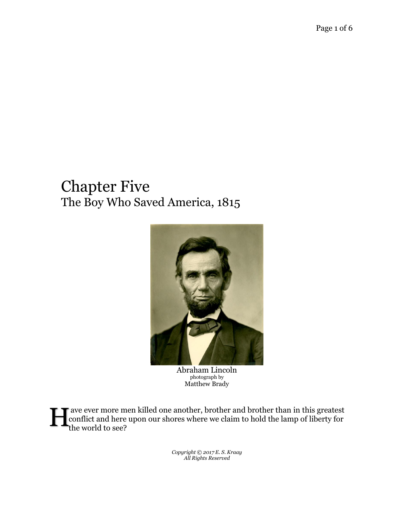## Chapter Five The Boy Who Saved America, 1815



Abraham Lincoln photograph by Matthew Brady

The world to see?<br>The world to see?

*Copyright © 2017 E. S. Kraay All Rights Reserved*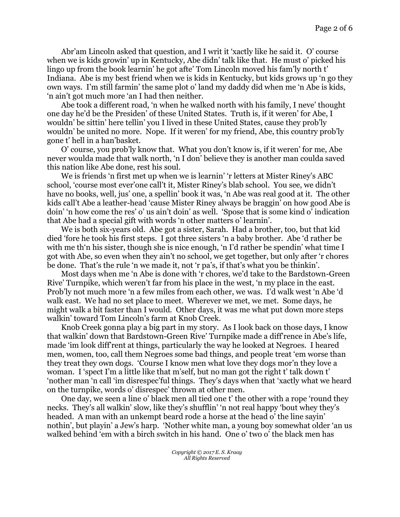Abr'am Lincoln asked that question, and I writ it 'xactly like he said it. O' course when we is kids growin' up in Kentucky, Abe didn' talk like that. He must o' picked his lingo up from the book learnin' he got afte' Tom Lincoln moved his fam'ly north t' Indiana. Abe is my best friend when we is kids in Kentucky, but kids grows up 'n go they own ways. I'm still farmin' the same plot o' land my daddy did when me 'n Abe is kids, 'n ain't got much more 'an I had then neither.

Abe took a different road, 'n when he walked north with his family, I neve' thought one day he'd be the Presiden' of these United States. Truth is, if it weren' for Abe, I wouldn' be sittin' here tellin' you I lived in these United States, cause they prob'ly wouldn' be united no more. Nope. If it weren' for my friend, Abe, this country prob'ly gone t' hell in a han'basket.

O' course, you prob'ly know that. What you don't know is, if it weren' for me, Abe never woulda made that walk north, 'n I don' believe they is another man coulda saved this nation like Abe done, rest his soul.

We is friends 'n first met up when we is learnin' 'r letters at Mister Riney's ABC school, 'course most ever'one call't it, Mister Riney's blab school. You see, we didn't have no books, well, jus' one, a spellin' book it was, 'n Abe was real good at it. The other kids call't Abe a leather-head 'cause Mister Riney always be braggin' on how good Abe is doin' 'n how come the res' o' us ain't doin' as well. 'Spose that is some kind o' indication that Abe had a special gift with words 'n other matters o' learnin'.

We is both six-years old. Abe got a sister, Sarah. Had a brother, too, but that kid died 'fore he took his first steps. I got three sisters 'n a baby brother. Abe 'd rather be with me th'n his sister, though she is nice enough, 'n I'd rather be spendin' what time I got with Abe, so even when they ain't no school, we get together, but only after 'r chores be done. That's the rule 'n we made it, not 'r pa's, if that's what you be thinkin'.

Most days when me 'n Abe is done with 'r chores, we'd take to the Bardstown-Green Rive' Turnpike, which weren't far from his place in the west, 'n my place in the east. Prob'ly not much more 'n a few miles from each other, we was. I'd walk west 'n Abe 'd walk east. We had no set place to meet. Wherever we met, we met. Some days, he might walk a bit faster than I would. Other days, it was me what put down more steps walkin' toward Tom Lincoln's farm at Knob Creek.

Knob Creek gonna play a big part in my story. As I look back on those days, I know that walkin' down that Bardstown-Green Rive' Turnpike made a diff'rence in Abe's life, made 'im look diff'rent at things, particularly the way he looked at Negroes. I heared men, women, too, call them Negroes some bad things, and people treat 'em worse than they treat they own dogs. 'Course I know men what love they dogs mor'n they love a woman. I 'spect I'm a little like that m'self, but no man got the right t' talk down t' 'nother man 'n call 'im disrespec'ful things. They's days when that 'xactly what we heard on the turnpike, words o' disrespec' thrown at other men.

One day, we seen a line o' black men all tied one t' the other with a rope 'round they necks. They's all walkin' slow, like they's shufflin' 'n not real happy 'bout whey they's headed. A man with an unkempt beard rode a horse at the head o' the line sayin' nothin', but playin' a Jew's harp. 'Nother white man, a young boy somewhat older 'an us walked behind 'em with a birch switch in his hand. One o' two o' the black men has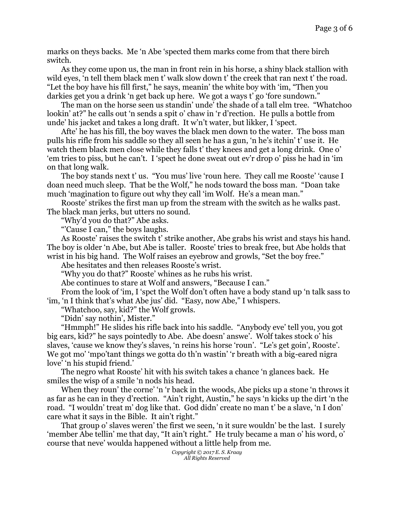marks on theys backs. Me 'n Abe 'spected them marks come from that there birch switch.

As they come upon us, the man in front rein in his horse, a shiny black stallion with wild eyes, 'n tell them black men t' walk slow down t' the creek that ran next t' the road. "Let the boy have his fill first," he says, meanin' the white boy with 'im, "Then you darkies get you a drink 'n get back up here. We got a ways t' go 'fore sundown."

The man on the horse seen us standin' unde' the shade of a tall elm tree. "Whatchoo lookin' at?" he calls out 'n sends a spit o' chaw in 'r d'rection. He pulls a bottle from unde' his jacket and takes a long draft. It w'n't water, but likker, I 'spect.

Afte' he has his fill, the boy waves the black men down to the water. The boss man pulls his rifle from his saddle so they all seen he has a gun, 'n he's itchin' t' use it. He watch them black men close while they falls t' they knees and get a long drink. One o' 'em tries to piss, but he can't. I 'spect he done sweat out ev'r drop o' piss he had in 'im on that long walk.

The boy stands next t' us. "You mus' live 'roun here. They call me Rooste' 'cause I doan need much sleep. That be the Wolf," he nods toward the boss man. "Doan take much 'magination to figure out why they call 'im Wolf. He's a mean man."

Rooste' strikes the first man up from the stream with the switch as he walks past. The black man jerks, but utters no sound.

"Why'd you do that?" Abe asks.

"'Cause I can," the boys laughs.

As Rooste' raises the switch t' strike another, Abe grabs his wrist and stays his hand. The boy is older 'n Abe, but Abe is taller. Rooste' tries to break free, but Abe holds that wrist in his big hand. The Wolf raises an eyebrow and growls, "Set the boy free."

Abe hesitates and then releases Rooste's wrist.

"Why you do that?" Rooste' whines as he rubs his wrist.

Abe continues to stare at Wolf and answers, "Because I can."

From the look of 'im, I 'spct the Wolf don't often have a body stand up 'n talk sass to 'im, 'n I think that's what Abe jus' did. "Easy, now Abe," I whispers.

"Whatchoo, say, kid?" the Wolf growls.

"Didn' say nothin', Mister."

"Hmmph!" He slides his rifle back into his saddle. "Anybody eve' tell you, you got big ears, kid?" he says pointedly to Abe. Abe doesn' answe'. Wolf takes stock o' his slaves, 'cause we know they's slaves, 'n reins his horse 'roun'. "Le's get goin', Rooste'. We got mo' 'mpo'tant things we gotta do th'n wastin' 'r breath with a big-eared nigra love' 'n his stupid friend.'

The negro what Rooste' hit with his switch takes a chance 'n glances back. He smiles the wisp of a smile 'n nods his head.

When they roun' the corne' 'n 'r back in the woods, Abe picks up a stone 'n throws it as far as he can in they d'rection. "Ain't right, Austin," he says 'n kicks up the dirt 'n the road. "I wouldn' treat m' dog like that. God didn' create no man t' be a slave, 'n I don' care what it says in the Bible. It ain't right."

That group o' slaves weren' the first we seen, 'n it sure wouldn' be the last. I surely 'member Abe tellin' me that day, "It ain't right." He truly became a man o' his word, o' course that neve' woulda happened without a little help from me.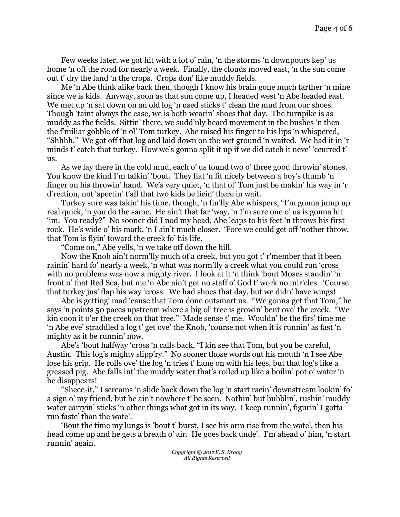Few weeks later, we got hit with a lot o' rain, 'n the storms 'n downpours kep' us home 'n off the road for nearly a week. Finally, the clouds moved east, 'n the sun come out t' dry the land 'n the crops. Crops don' like muddy fields.

Me 'n Abe think alike back then, though I know his brain gone much farther 'n mine since we is kids. Anyway, soon as that sun come up, I headed west 'n Abe headed east. We met up 'n sat down on an old log 'n used sticks t' clean the mud from our shoes. Though 'taint always the case, we is both wearin' shoes that day. The turnpike is as muddy as the fields. Sittin' there, we sudd'nly heard movement in the bushes 'n then the f'miliar gobble of 'n ol' Tom turkey. Abe raised his finger to his lips 'n whispered, "Shhhh." We got off that log and laid down on the wet ground 'n waited. We had it in 'r minds t' catch that turkey. How we's gonna split it up if we did catch it neve' 'ccurred t' us.

As we lay there in the cold mud, each o' us found two o' three good throwin' stones. You know the kind I'm talkin' 'bout. They flat 'n fit nicely between a boy's thumb 'n finger on his throwin' hand. We's very quiet, 'n that ol' Tom just be makin' his way in 'r d'rection, not 'spectin' t'all that two kids be liein' there in wait.

Turkey sure was takin' his time, though, 'n fin'lly Abe whispers, "I'm gonna jump up real quick, 'n you do the same. He ain't that far 'way, 'n I'm sure one o' us is gonna hit 'im. You ready?" No sooner did I nod my head, Abe leaps to his feet 'n throws his first rock. He's wide o' his mark, 'n I ain't much closer. 'Fore we could get off 'nother throw, that Tom is flyin' toward the creek fo' his life.

"Come on," Abe yells, 'n we take off down the hill.

Now the Knob ain't norm'lly much of a creek, but you got t' r'member that it been rainin' hard fo' nearly a week, 'n what was norm'lly a creek what you could run 'cross with no problems was now a mighty river. I look at it 'n think 'bout Moses standin' 'n front o' that Red Sea, but me 'n Abe ain't got no staff o' God t' work no mir'cles. 'Course that turkey jus' flap his way 'cross. We had shoes that day, but we didn' have wings!

Abe is getting' mad 'cause that Tom done outsmart us. "We gonna get that Tom," he says 'n points 50 paces upstream where a big ol' tree is growin' bent ove' the creek. "We kin coon it o'er the creek on that tree." Made sense t' me. Wouldn' be the firs' time me 'n Abe eve' straddled a log t' get ove' the Knob, 'course not when it is runnin' as fast 'n mighty as it be runnin' now.

Abe's 'bout halfway 'cross 'n calls back, "I kin see that Tom, but you be careful, Austin. This log's mighty slipp'ry." No sooner those words out his mouth 'n I see Abe lose his grip. He rolls ove' the log 'n tries t' hang on with his legs, but that log's like a greased pig. Abe falls int' the muddy water that's roiled up like a boilin' pot o' water 'n he disappears!

"Sheee-it," I screams 'n slide back down the log 'n start racin' downstream lookin' fo' a sign o' my friend, but he ain't nowhere t' be seen. Nothin' but bubblin', rushin' muddy water carryin' sticks 'n other things what got in its way. I keep runnin', figurin' I gotta run faste' than the wate'.

'Bout the time my lungs is 'bout t' burst, I see his arm rise from the wate', then his head come up and he gets a breath o' air. He goes back unde'. I'm ahead o' him, 'n start runnin' again.

> *Copyright © 2017 E. S. Kraay All Rights Reserved*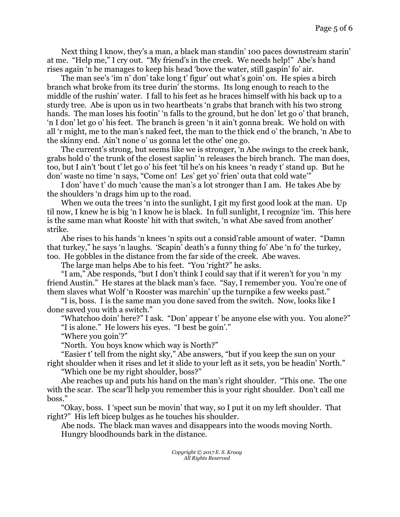Next thing I know, they's a man, a black man standin' 100 paces downstream starin' at me. "Help me," I cry out. "My friend's in the creek. We needs help!" Abe's hand rises again 'n he manages to keep his head 'bove the water, still gaspin' fo' air.

The man see's 'im n' don' take long t' figur' out what's goin' on. He spies a birch branch what broke from its tree durin' the storms. Its long enough to reach to the middle of the rushin' water. I fall to his feet as he braces himself with his back up to a sturdy tree. Abe is upon us in two heartbeats 'n grabs that branch with his two strong hands. The man loses his footin' 'n falls to the ground, but he don' let go o' that branch, 'n I don' let go o' his feet. The branch is green 'n it ain't gonna break. We hold on with all 'r might, me to the man's naked feet, the man to the thick end o' the branch, 'n Abe to the skinny end. Ain't none o' us gonna let the othe' one go.

The current's strong, but seems like we is stronger, 'n Abe swings to the creek bank, grabs hold o' the trunk of the closest saplin' 'n releases the birch branch. The man does, too, but I ain't 'bout t' let go o' his feet 'til he's on his knees 'n ready t' stand up. But he don' waste no time 'n says, "Come on! Les' get yo' frien' outa that cold wate'"

I don' have t' do much 'cause the man's a lot stronger than I am. He takes Abe by the shoulders 'n drags him up to the road.

When we outa the trees 'n into the sunlight, I git my first good look at the man. Up til now, I knew he is big 'n I know he is black. In full sunlight, I recognize 'im. This here is the same man what Rooste' hit with that switch, 'n what Abe saved from another' strike.

Abe rises to his hands 'n knees 'n spits out a consid'rable amount of water. "Damn that turkey," he says 'n laughs. 'Scapin' death's a funny thing fo' Abe 'n fo' the turkey, too. He gobbles in the distance from the far side of the creek. Abe waves.

The large man helps Abe to his feet. "You 'right?" he asks.

"I am," Abe responds, "but I don't think I could say that if it weren't for you 'n my friend Austin." He stares at the black man's face. "Say, I remember you. You're one of them slaves what Wolf 'n Rooster was marchin' up the turnpike a few weeks past."

"I is, boss. I is the same man you done saved from the switch. Now, looks like I done saved you with a switch."

"Whatchoo doin' here?" I ask. "Don' appear t' be anyone else with you. You alone?" "I is alone." He lowers his eyes. "I best be goin'."

"Where you goin'?"

"North. You boys know which way is North?"

"Easier t' tell from the night sky," Abe answers, "but if you keep the sun on your right shoulder when it rises and let it slide to your left as it sets, you be headin' North."

"Which one be my right shoulder, boss?"

Abe reaches up and puts his hand on the man's right shoulder. "This one. The one with the scar. The scar'll help you remember this is your right shoulder. Don't call me boss."

"Okay, boss. I 'spect sun be movin' that way, so I put it on my left shoulder. That right?" His left bicep bulges as he touches his shoulder.

Abe nods. The black man waves and disappears into the woods moving North. Hungry bloodhounds bark in the distance.